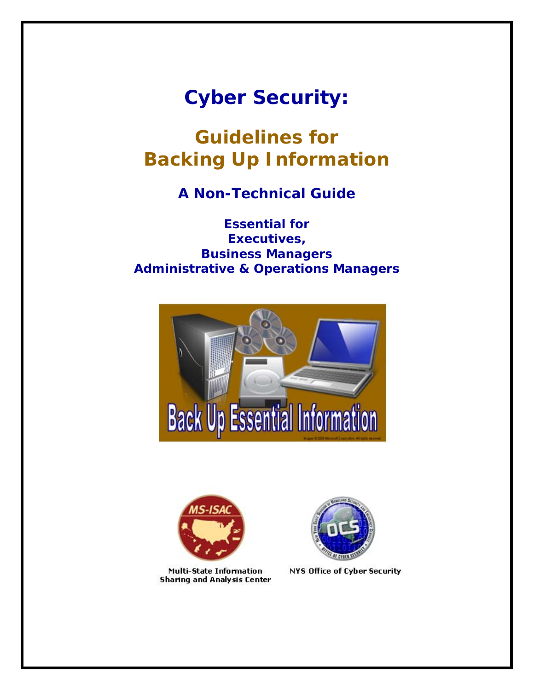# *Cyber Security:*

*Guidelines for Backing Up Information* 

*A Non-Technical Guide* 

*Essential for Executives, Business Managers Administrative & Operations Managers*





Multi-State Information **Sharing and Analysis Center** 



**NYS Office of Cyber Security**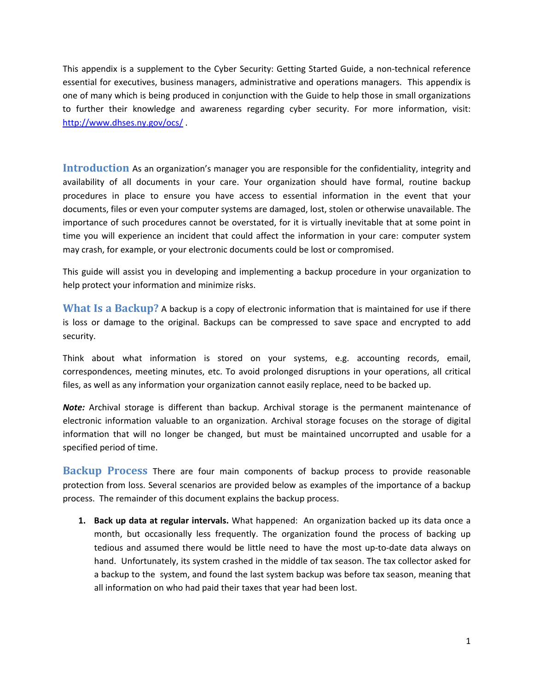This appendix is a supplement to the Cyber Security: Getting Started Guide, a non‐technical reference essential for executives, business managers, administrative and operations managers. This appendix is one of many which is being produced in conjunction with the Guide to help those in small organizations to further their knowledge and awareness regarding cyber security. For more information, visit: <http://www.dhses.ny.gov/ocs/> .

**Introduction** As an organization's manager you are responsible for the confidentiality, integrity and availability of all documents in your care. Your organization should have formal, routine backup procedures in place to ensure you have access to essential information in the event that your documents, files or even your computer systems are damaged, lost, stolen or otherwise unavailable. The importance of such procedures cannot be overstated, for it is virtually inevitable that at some point in time you will experience an incident that could affect the information in your care: computer system may crash, for example, or your electronic documents could be lost or compromised.

This guide will assist you in developing and implementing a backup procedure in your organization to help protect your information and minimize risks.

**What Is a Backup?** A backup is a copy of electronic information that is maintained for use if there is loss or damage to the original. Backups can be compressed to save space and encrypted to add security.

Think about what information is stored on your systems, e.g. accounting records, email, correspondences, meeting minutes, etc. To avoid prolonged disruptions in your operations, all critical files, as well as any information your organization cannot easily replace, need to be backed up.

*Note:* Archival storage is different than backup. Archival storage is the permanent maintenance of electronic information valuable to an organization. Archival storage focuses on the storage of digital information that will no longer be changed, but must be maintained uncorrupted and usable for a specified period of time.

**Backup Process** There are four main components of backup process to provide reasonable protection from loss. Several scenarios are provided below as examples of the importance of a backup process. The remainder of this document explains the backup process.

**1. Back up data at regular intervals.** What happened: An organization backed up its data once a month, but occasionally less frequently. The organization found the process of backing up tedious and assumed there would be little need to have the most up‐to‐date data always on hand. Unfortunately, its system crashed in the middle of tax season. The tax collector asked for a backup to the system, and found the last system backup was before tax season, meaning that all information on who had paid their taxes that year had been lost.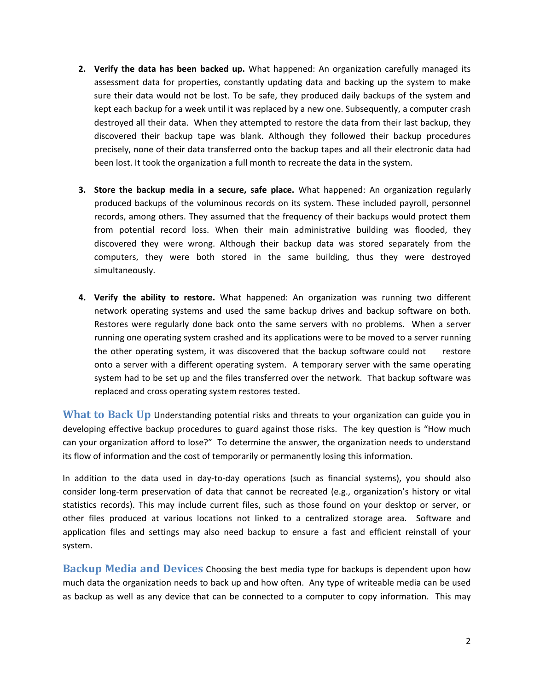- **2. Verify the data has been backed up.** What happened: An organization carefully managed its assessment data for properties, constantly updating data and backing up the system to make sure their data would not be lost. To be safe, they produced daily backups of the system and kept each backup for a week until it was replaced by a new one. Subsequently, a computer crash destroyed all their data. When they attempted to restore the data from their last backup, they discovered their backup tape was blank. Although they followed their backup procedures precisely, none of their data transferred onto the backup tapes and all their electronic data had been lost. It took the organization a full month to recreate the data in the system.
- **3. Store the backup media in a secure, safe place.** What happened: An organization regularly produced backups of the voluminous records on its system. These included payroll, personnel records, among others. They assumed that the frequency of their backups would protect them from potential record loss. When their main administrative building was flooded, they discovered they were wrong. Although their backup data was stored separately from the computers, they were both stored in the same building, thus they were destroyed simultaneously.
- **4. Verify the ability to restore.** What happened: An organization was running two different network operating systems and used the same backup drives and backup software on both. Restores were regularly done back onto the same servers with no problems. When a server running one operating system crashed and its applications were to be moved to a server running the other operating system, it was discovered that the backup software could not restore onto a server with a different operating system. A temporary server with the same operating system had to be set up and the files transferred over the network. That backup software was replaced and cross operating system restores tested.

**What to Back Up** Understanding potential risks and threats to your organization can guide you in developing effective backup procedures to guard against those risks. The key question is "How much can your organization afford to lose?" To determine the answer, the organization needs to understand its flow of information and the cost of temporarily or permanently losing this information.

In addition to the data used in day-to-day operations (such as financial systems), you should also consider long‐term preservation of data that cannot be recreated (e.g., organization's history or vital statistics records). This may include current files, such as those found on your desktop or server, or other files produced at various locations not linked to a centralized storage area. Software and application files and settings may also need backup to ensure a fast and efficient reinstall of your system.

**Backup Media and Devices** Choosing the best media type for backups is dependent upon how much data the organization needs to back up and how often. Any type of writeable media can be used as backup as well as any device that can be connected to a computer to copy information. This may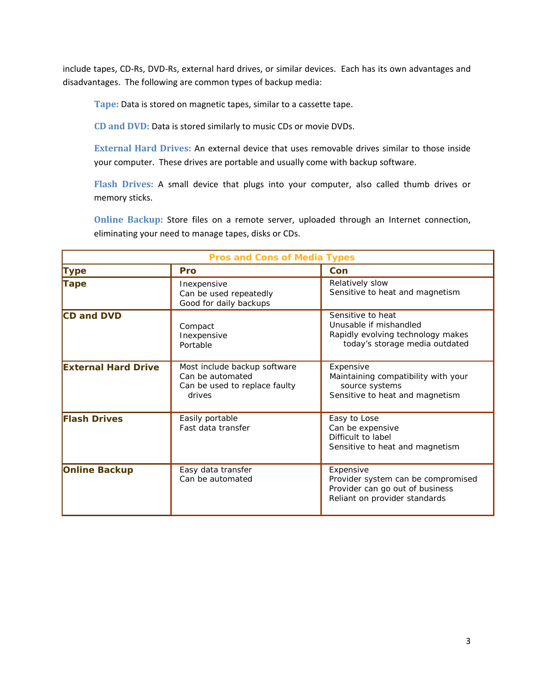include tapes, CD‐Rs, DVD‐Rs, external hard drives, or similar devices. Each has its own advantages and disadvantages. The following are common types of backup media:

**Tape:** Data is stored on magnetic tapes, similar to a cassette tape.

**CD and DVD:** Data is stored similarly to music CDs or movie DVDs.

**External Hard Drives:** An external device that uses removable drives similar to those inside your computer. These drives are portable and usually come with backup software.

**Flash Drives:** A small device that plugs into your computer, also called thumb drives or memory sticks.

**Online Backup:** Store files on a remote server, uploaded through an Internet connection, eliminating your need to manage tapes, disks or CDs.

| <b>Pros and Cons of Media Types</b> |                                                                                             |                                                                                                                     |  |  |  |
|-------------------------------------|---------------------------------------------------------------------------------------------|---------------------------------------------------------------------------------------------------------------------|--|--|--|
| <b>Type</b>                         | Pro                                                                                         | Con                                                                                                                 |  |  |  |
| <b>Tape</b>                         | Inexpensive<br>Can be used repeatedly<br>Good for daily backups                             | Relatively slow<br>Sensitive to heat and magnetism                                                                  |  |  |  |
| CD and DVD                          | Compact<br>Inexpensive<br>Portable                                                          | Sensitive to heat<br>Unusable if mishandled<br>Rapidly evolving technology makes<br>today's storage media outdated  |  |  |  |
| <b>External Hard Drive</b>          | Most include backup software<br>Can be automated<br>Can be used to replace faulty<br>drives | Expensive<br>Maintaining compatibility with your<br>source systems<br>Sensitive to heat and magnetism               |  |  |  |
| <b>Flash Drives</b>                 | Easily portable<br>Fast data transfer                                                       | Easy to Lose<br>Can be expensive<br>Difficult to label<br>Sensitive to heat and magnetism                           |  |  |  |
| <b>Online Backup</b>                | Easy data transfer<br>Can be automated                                                      | Expensive<br>Provider system can be compromised<br>Provider can go out of business<br>Reliant on provider standards |  |  |  |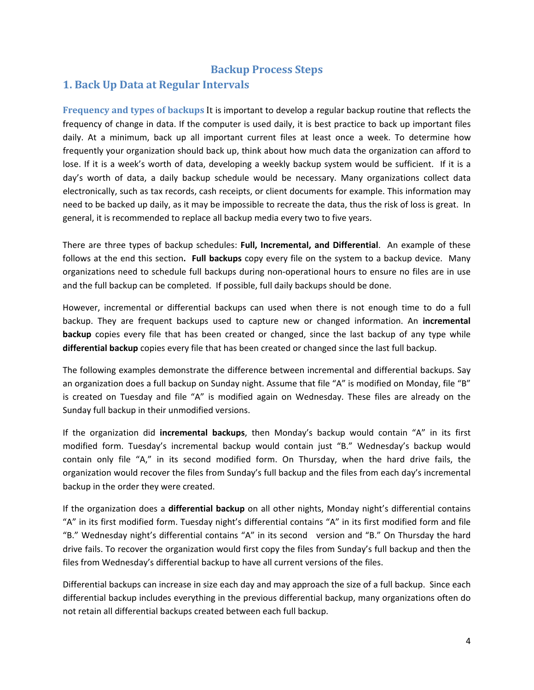### **Backup Process Steps**

## **1. Back Up Data at Regular Intervals**

**Frequency and types of backups** It is important to develop a regular backup routine that reflects the frequency of change in data. If the computer is used daily, it is best practice to back up important files daily. At a minimum, back up all important current files at least once a week. To determine how frequently your organization should back up, think about how much data the organization can afford to lose. If it is a week's worth of data, developing a weekly backup system would be sufficient. If it is a day's worth of data, a daily backup schedule would be necessary. Many organizations collect data electronically, such as tax records, cash receipts, or client documents for example. This information may need to be backed up daily, as it may be impossible to recreate the data, thus the risk of loss is great. In general, it is recommended to replace all backup media every two to five years.

There are three types of backup schedules: **Full, Incremental, and Differential**. An example of these follows at the end this section**. Full backups** copy every file on the system to a backup device. Many organizations need to schedule full backups during non‐operational hours to ensure no files are in use and the full backup can be completed. If possible, full daily backups should be done.

However, incremental or differential backups can used when there is not enough time to do a full backup. They are frequent backups used to capture new or changed information. An **incremental backup** copies every file that has been created or changed, since the last backup of any type while **differential backup** copies every file that has been created or changed since the last full backup.

The following examples demonstrate the difference between incremental and differential backups. Say an organization does a full backup on Sunday night. Assume that file "A" is modified on Monday, file "B" is created on Tuesday and file "A" is modified again on Wednesday. These files are already on the Sunday full backup in their unmodified versions.

If the organization did **incremental backups**, then Monday's backup would contain "A" in its first modified form. Tuesday's incremental backup would contain just "B." Wednesday's backup would contain only file "A," in its second modified form. On Thursday, when the hard drive fails, the organization would recover the files from Sunday's full backup and the files from each day's incremental backup in the order they were created.

If the organization does a **differential backup** on all other nights, Monday night's differential contains "A" in its first modified form. Tuesday night's differential contains "A" in its first modified form and file "B." Wednesday night's differential contains "A" in its second version and "B." On Thursday the hard drive fails. To recover the organization would first copy the files from Sunday's full backup and then the files from Wednesday's differential backup to have all current versions of the files.

Differential backups can increase in size each day and may approach the size of a full backup. Since each differential backup includes everything in the previous differential backup, many organizations often do not retain all differential backups created between each full backup.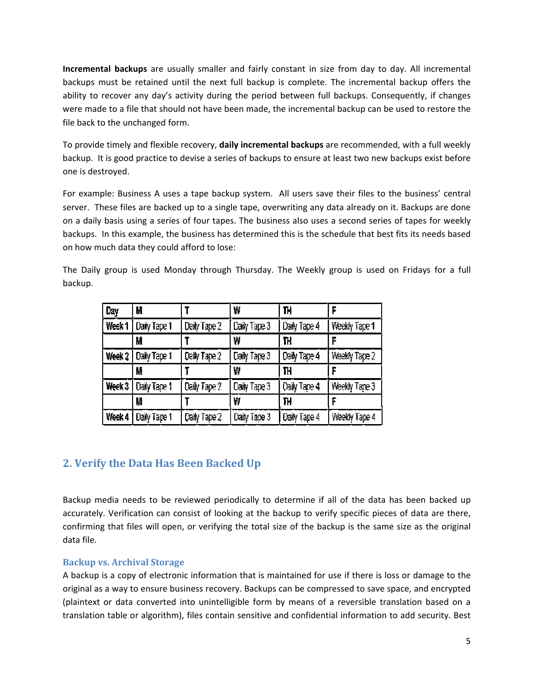**Incremental backups** are usually smaller and fairly constant in size from day to day. All incremental backups must be retained until the next full backup is complete. The incremental backup offers the ability to recover any day's activity during the period between full backups. Consequently, if changes were made to a file that should not have been made, the incremental backup can be used to restore the file back to the unchanged form.

To provide timely and flexible recovery, **daily incremental backups** are recommended, with a full weekly backup. It is good practice to devise a series of backups to ensure at least two new backups exist before one is destroyed.

For example: Business A uses a tape backup system. All users save their files to the business' central server. These files are backed up to a single tape, overwriting any data already on it. Backups are done on a daily basis using a series of four tapes. The business also uses a second series of tapes for weekly backups. In this example, the business has determined this is the schedule that best fits its needs based on how much data they could afford to lose:

| Day    | И            |                     | ₩            | TH           |               |
|--------|--------------|---------------------|--------------|--------------|---------------|
| Week 1 | Daily Tape 1 | Daily Tape 2        | Daily Tape 3 | Daily Tape 4 | Weekly Tape 1 |
|        | M            |                     | ₩            | TH           | F             |
| Week 2 | Daily Tape 1 | <b>Celly Tape 2</b> | Daily Tape 3 | Daily Tape 4 | Weekly Tape 2 |
|        | 鬜            |                     | ₩            | TH           | F             |
| Week 3 | Daiy Tape 1  | Daily Tape 2        | Caily Tape 3 | Daily Tape 4 | Weekly Tape 3 |
|        | M            |                     | ₩            | TH           | F             |
| Week 4 | Daily Tape 1 | Daily Tape 2        | Daily Tape 3 | Daily Tape 4 | Weekly Tape 4 |

The Daily group is used Monday through Thursday. The Weekly group is used on Fridays for a full backup.

# **2. Verify the Data Has Been Backed Up**

Backup media needs to be reviewed periodically to determine if all of the data has been backed up accurately. Verification can consist of looking at the backup to verify specific pieces of data are there, confirming that files will open, or verifying the total size of the backup is the same size as the original data file.

### **Backup vs. Archival Storage**

A backup is a copy of electronic information that is maintained for use if there is loss or damage to the original as a way to ensure business recovery. Backups can be compressed to save space, and encrypted (plaintext or data converted into unintelligible form by means of a reversible translation based on a translation table or algorithm), files contain sensitive and confidential information to add security. Best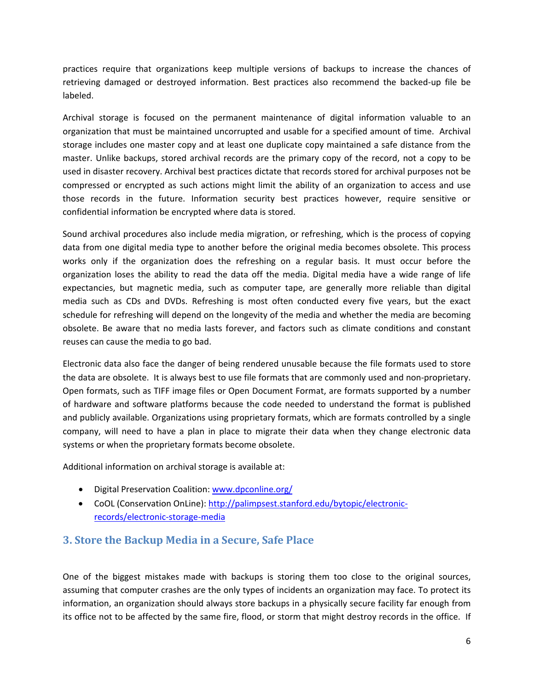practices require that organizations keep multiple versions of backups to increase the chances of retrieving damaged or destroyed information. Best practices also recommend the backed-up file be labeled.

Archival storage is focused on the permanent maintenance of digital information valuable to an organization that must be maintained uncorrupted and usable for a specified amount of time. Archival storage includes one master copy and at least one duplicate copy maintained a safe distance from the master. Unlike backups, stored archival records are the primary copy of the record, not a copy to be used in disaster recovery. Archival best practices dictate that records stored for archival purposes not be compressed or encrypted as such actions might limit the ability of an organization to access and use those records in the future. Information security best practices however, require sensitive or confidential information be encrypted where data is stored.

Sound archival procedures also include media migration, or refreshing, which is the process of copying data from one digital media type to another before the original media becomes obsolete. This process works only if the organization does the refreshing on a regular basis. It must occur before the organization loses the ability to read the data off the media. Digital media have a wide range of life expectancies, but magnetic media, such as computer tape, are generally more reliable than digital media such as CDs and DVDs. Refreshing is most often conducted every five years, but the exact schedule for refreshing will depend on the longevity of the media and whether the media are becoming obsolete. Be aware that no media lasts forever, and factors such as climate conditions and constant reuses can cause the media to go bad.

Electronic data also face the danger of being rendered unusable because the file formats used to store the data are obsolete. It is always best to use file formats that are commonly used and non‐proprietary. Open formats, such as TIFF image files or Open Document Format, are formats supported by a number of hardware and software platforms because the code needed to understand the format is published and publicly available. Organizations using proprietary formats, which are formats controlled by a single company, will need to have a plan in place to migrate their data when they change electronic data systems or when the proprietary formats become obsolete.

Additional information on archival storage is available at:

- Digital Preservation Coalition: [www.dpconline.org/](http://www.dpconline.org/)
- CoOL (Conservation OnLine): [http://palimpsest.stanford.edu/bytopic/electronic](http://palimpsest.stanford.edu/bytopic/electronic-records/electronic-storage-media)[records/electronic](http://palimpsest.stanford.edu/bytopic/electronic-records/electronic-storage-media)‐storage‐media

## **3. Store the Backup Media in a Secure, Safe Place**

One of the biggest mistakes made with backups is storing them too close to the original sources, assuming that computer crashes are the only types of incidents an organization may face. To protect its information, an organization should always store backups in a physically secure facility far enough from its office not to be affected by the same fire, flood, or storm that might destroy records in the office. If